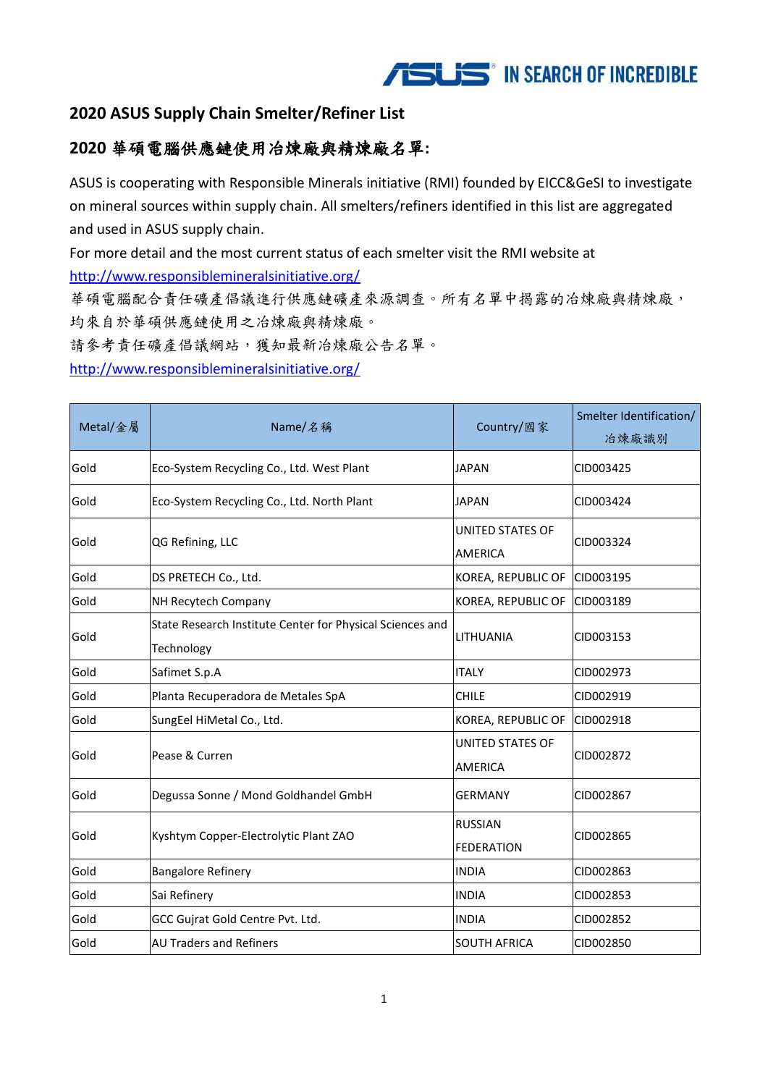

#### **2020 ASUS Supply Chain Smelter/Refiner List**

#### **2020** 華碩電腦供應鏈使用冶煉廠與精煉廠名單**:**

ASUS is cooperating with Responsible Minerals initiative (RMI) founded by EICC&GeSI to investigate on mineral sources within supply chain. All smelters/refiners identified in this list are aggregated and used in ASUS supply chain.

For more detail and the most current status of each smelter visit the RMI website at <http://www.responsiblemineralsinitiative.org/>

華碩電腦配合責任礦產倡議進行供應鏈礦產來源調查。所有名單中揭露的冶煉廠與精煉廠, 均來自於華碩供應鏈使用之冶煉廠與精煉廠。

請參考責任礦產倡議網站,獲知最新冶煉廠公告名單。

<http://www.responsiblemineralsinitiative.org/>

| Metal/金屬 | Name/名稱                                                                 | Country/國家                                | Smelter Identification/<br>冶煉廠識別 |
|----------|-------------------------------------------------------------------------|-------------------------------------------|----------------------------------|
| Gold     | Eco-System Recycling Co., Ltd. West Plant                               | <b>JAPAN</b>                              | CID003425                        |
| Gold     | Eco-System Recycling Co., Ltd. North Plant                              | <b>JAPAN</b>                              | CID003424                        |
| Gold     | QG Refining, LLC                                                        | <b>UNITED STATES OF</b><br><b>AMERICA</b> | CID003324                        |
| Gold     | DS PRETECH Co., Ltd.                                                    | KOREA, REPUBLIC OF                        | CID003195                        |
| Gold     | NH Recytech Company                                                     | KOREA, REPUBLIC OF                        | CID003189                        |
| Gold     | State Research Institute Center for Physical Sciences and<br>Technology | LITHUANIA                                 | CID003153                        |
| Gold     | Safimet S.p.A                                                           | <b>ITALY</b>                              | CID002973                        |
| Gold     | Planta Recuperadora de Metales SpA                                      | <b>CHILE</b>                              | CID002919                        |
| Gold     | SungEel HiMetal Co., Ltd.                                               | KOREA, REPUBLIC OF                        | CID002918                        |
| Gold     | Pease & Curren                                                          | UNITED STATES OF<br><b>AMERICA</b>        | CID002872                        |
| Gold     | Degussa Sonne / Mond Goldhandel GmbH                                    | <b>GERMANY</b>                            | CID002867                        |
| Gold     | Kyshtym Copper-Electrolytic Plant ZAO                                   | <b>RUSSIAN</b><br><b>FEDERATION</b>       | CID002865                        |
| Gold     | <b>Bangalore Refinery</b>                                               | <b>INDIA</b>                              | CID002863                        |
| Gold     | Sai Refinery                                                            | <b>INDIA</b>                              | CID002853                        |
| Gold     | GCC Gujrat Gold Centre Pvt. Ltd.                                        | <b>INDIA</b>                              | CID002852                        |
| Gold     | <b>AU Traders and Refiners</b>                                          | <b>SOUTH AFRICA</b>                       | CID002850                        |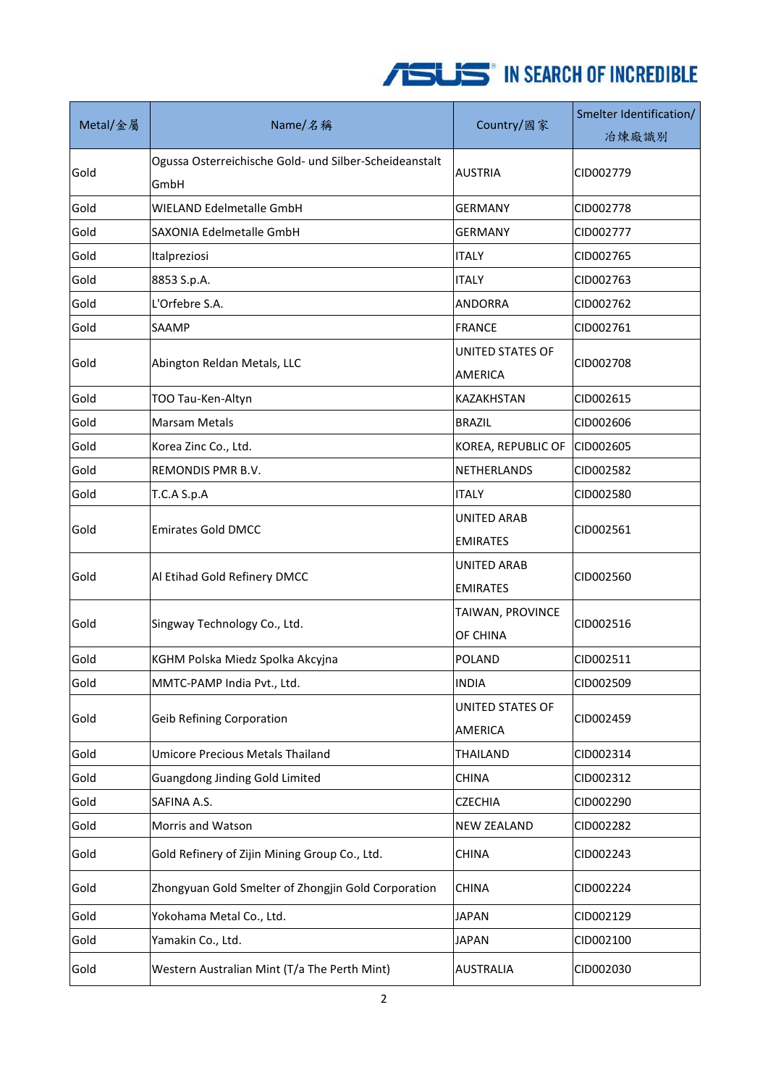| Metal/金屬 | Name/名稱                                                        | Country/國家                     | Smelter Identification/<br>冶煉廠識別 |
|----------|----------------------------------------------------------------|--------------------------------|----------------------------------|
| Gold     | Ogussa Osterreichische Gold- und Silber-Scheideanstalt<br>GmbH | <b>AUSTRIA</b>                 | CID002779                        |
| Gold     | <b>WIELAND Edelmetalle GmbH</b>                                | GERMANY                        | CID002778                        |
| Gold     | SAXONIA Edelmetalle GmbH                                       | <b>GERMANY</b>                 | CID002777                        |
| Gold     | Italpreziosi                                                   | <b>ITALY</b>                   | CID002765                        |
| Gold     | 8853 S.p.A.                                                    | <b>ITALY</b>                   | CID002763                        |
| Gold     | L'Orfebre S.A.                                                 | <b>ANDORRA</b>                 | CID002762                        |
| Gold     | SAAMP                                                          | <b>FRANCE</b>                  | CID002761                        |
| Gold     | Abington Reldan Metals, LLC                                    | UNITED STATES OF<br>AMERICA    | CID002708                        |
| Gold     | TOO Tau-Ken-Altyn                                              | KAZAKHSTAN                     | CID002615                        |
| Gold     | <b>Marsam Metals</b>                                           | <b>BRAZIL</b>                  | CID002606                        |
| Gold     | Korea Zinc Co., Ltd.                                           | KOREA, REPUBLIC OF             | CID002605                        |
| Gold     | REMONDIS PMR B.V.                                              | NETHERLANDS                    | CID002582                        |
| Gold     | T.C.A S.p.A                                                    | <b>ITALY</b>                   | CID002580                        |
| Gold     | <b>Emirates Gold DMCC</b>                                      | UNITED ARAB<br><b>EMIRATES</b> | CID002561                        |
| Gold     | Al Etihad Gold Refinery DMCC                                   | UNITED ARAB<br><b>EMIRATES</b> | CID002560                        |
| Gold     | Singway Technology Co., Ltd.                                   | TAIWAN, PROVINCE<br>OF CHINA   | CID002516                        |
| Gold     | KGHM Polska Miedz Spolka Akcyjna                               | <b>POLAND</b>                  | CID002511                        |
| Gold     | MMTC-PAMP India Pvt., Ltd.                                     | <b>INDIA</b>                   | CID002509                        |
| Gold     | <b>Geib Refining Corporation</b>                               | UNITED STATES OF<br>AMERICA    | CID002459                        |
| Gold     | <b>Umicore Precious Metals Thailand</b>                        | THAILAND                       | CID002314                        |
| Gold     | Guangdong Jinding Gold Limited                                 | <b>CHINA</b>                   | CID002312                        |
| Gold     | SAFINA A.S.                                                    | <b>CZECHIA</b>                 | CID002290                        |
| Gold     | Morris and Watson                                              | <b>NEW ZEALAND</b>             | CID002282                        |
| Gold     | Gold Refinery of Zijin Mining Group Co., Ltd.                  | <b>CHINA</b>                   | CID002243                        |
| Gold     | Zhongyuan Gold Smelter of Zhongjin Gold Corporation            | <b>CHINA</b>                   | CID002224                        |
| Gold     | Yokohama Metal Co., Ltd.                                       | <b>JAPAN</b>                   | CID002129                        |
| Gold     | Yamakin Co., Ltd.                                              | <b>JAPAN</b>                   | CID002100                        |
| Gold     | Western Australian Mint (T/a The Perth Mint)                   | <b>AUSTRALIA</b>               | CID002030                        |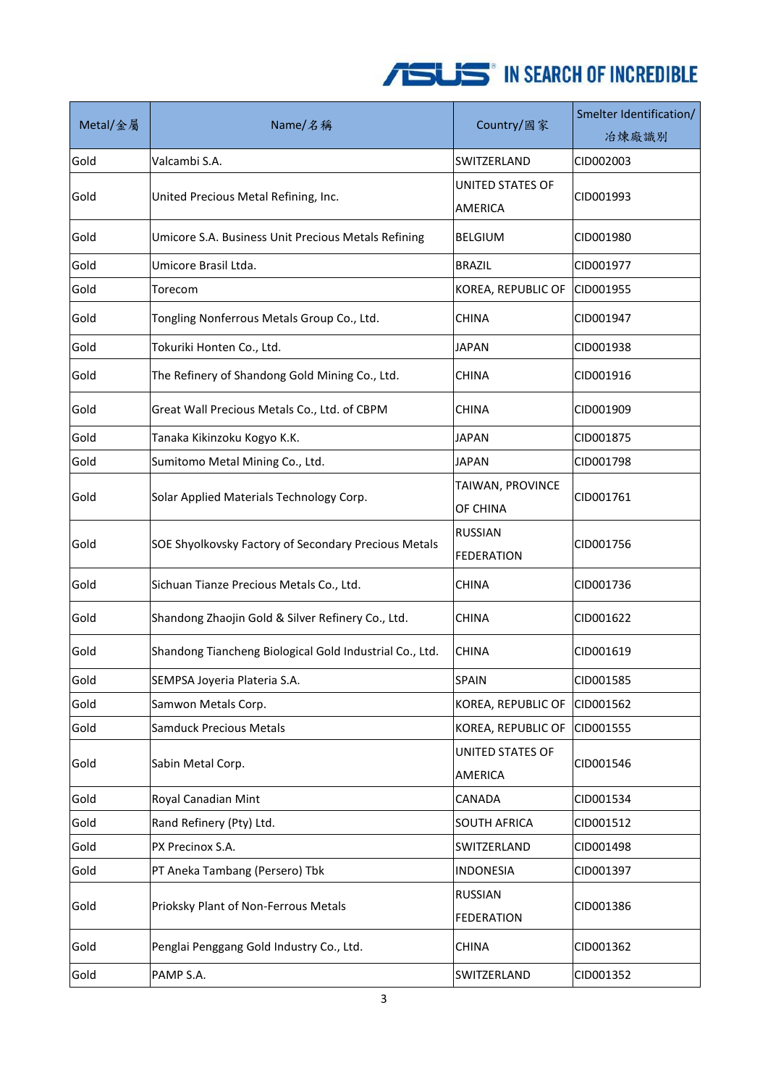| Metal/金屬 | Name/名稱                                                 | Country/國家                          | Smelter Identification/<br>冶煉廠識別 |
|----------|---------------------------------------------------------|-------------------------------------|----------------------------------|
| Gold     | Valcambi S.A.                                           | SWITZERLAND                         | CID002003                        |
| Gold     | United Precious Metal Refining, Inc.                    | UNITED STATES OF<br><b>AMERICA</b>  | CID001993                        |
| Gold     | Umicore S.A. Business Unit Precious Metals Refining     | <b>BELGIUM</b>                      | CID001980                        |
| Gold     | Umicore Brasil Ltda.                                    | <b>BRAZIL</b>                       | CID001977                        |
| Gold     | Torecom                                                 | KOREA, REPUBLIC OF                  | CID001955                        |
| Gold     | Tongling Nonferrous Metals Group Co., Ltd.              | <b>CHINA</b>                        | CID001947                        |
| Gold     | Tokuriki Honten Co., Ltd.                               | <b>JAPAN</b>                        | CID001938                        |
| Gold     | The Refinery of Shandong Gold Mining Co., Ltd.          | <b>CHINA</b>                        | CID001916                        |
| Gold     | Great Wall Precious Metals Co., Ltd. of CBPM            | <b>CHINA</b>                        | CID001909                        |
| Gold     | Tanaka Kikinzoku Kogyo K.K.                             | <b>JAPAN</b>                        | CID001875                        |
| Gold     | Sumitomo Metal Mining Co., Ltd.                         | <b>JAPAN</b>                        | CID001798                        |
| Gold     | Solar Applied Materials Technology Corp.                | TAIWAN, PROVINCE<br>OF CHINA        | CID001761                        |
| Gold     | SOE Shyolkovsky Factory of Secondary Precious Metals    | <b>RUSSIAN</b><br><b>FEDERATION</b> | CID001756                        |
| Gold     | Sichuan Tianze Precious Metals Co., Ltd.                | <b>CHINA</b>                        | CID001736                        |
| Gold     | Shandong Zhaojin Gold & Silver Refinery Co., Ltd.       | <b>CHINA</b>                        | CID001622                        |
| Gold     | Shandong Tiancheng Biological Gold Industrial Co., Ltd. | <b>CHINA</b>                        | CID001619                        |
| Gold     | SEMPSA Joyeria Plateria S.A.                            | SPAIN                               | CID001585                        |
| Gold     | Samwon Metals Corp.                                     | KOREA, REPUBLIC OF                  | CID001562                        |
| Gold     | <b>Samduck Precious Metals</b>                          | KOREA, REPUBLIC OF                  | CID001555                        |
| Gold     | Sabin Metal Corp.                                       | UNITED STATES OF<br>AMERICA         | CID001546                        |
| Gold     | Royal Canadian Mint                                     | CANADA                              | CID001534                        |
| Gold     | Rand Refinery (Pty) Ltd.                                | <b>SOUTH AFRICA</b>                 | CID001512                        |
| Gold     | PX Precinox S.A.                                        | SWITZERLAND                         | CID001498                        |
| Gold     | PT Aneka Tambang (Persero) Tbk                          | <b>INDONESIA</b>                    | CID001397                        |
| Gold     | Prioksky Plant of Non-Ferrous Metals                    | <b>RUSSIAN</b><br><b>FEDERATION</b> | CID001386                        |
| Gold     | Penglai Penggang Gold Industry Co., Ltd.                | <b>CHINA</b>                        | CID001362                        |
| Gold     | PAMP S.A.                                               | SWITZERLAND                         | CID001352                        |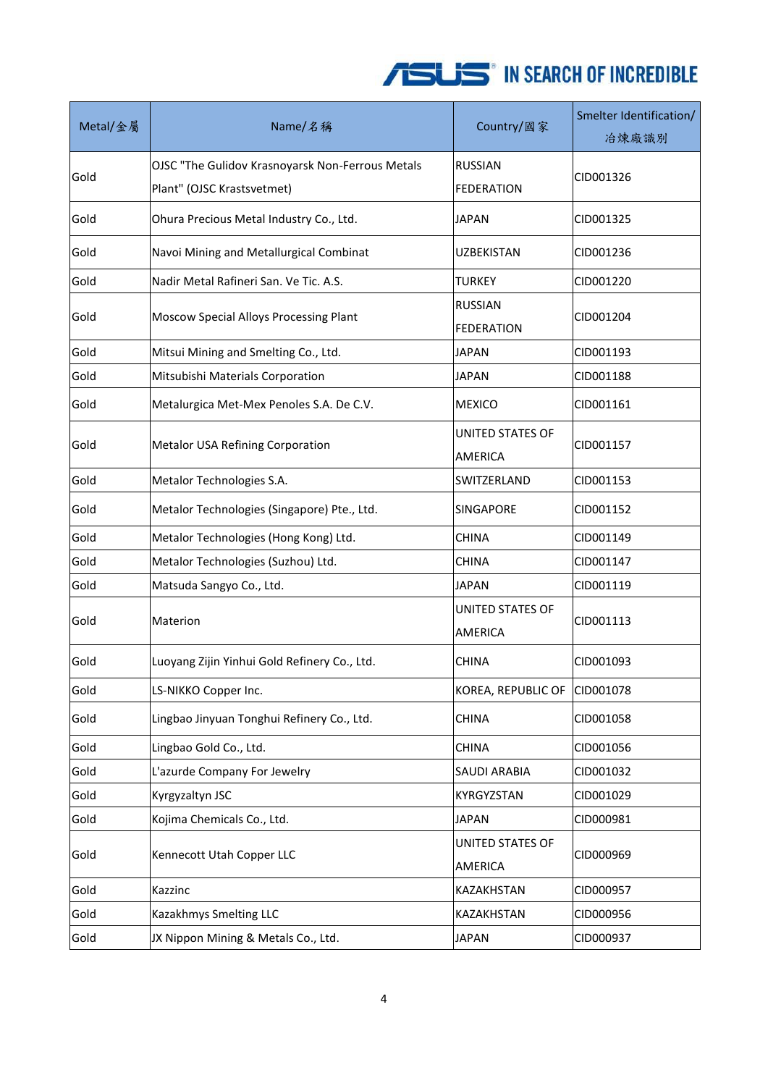| Metal/金屬 | Name/名稱                                                                        | Country/國家                                | Smelter Identification/<br>冶煉廠識別 |
|----------|--------------------------------------------------------------------------------|-------------------------------------------|----------------------------------|
| Gold     | OJSC "The Gulidov Krasnoyarsk Non-Ferrous Metals<br>Plant" (OJSC Krastsvetmet) | <b>RUSSIAN</b><br><b>FEDERATION</b>       | CID001326                        |
| Gold     | Ohura Precious Metal Industry Co., Ltd.                                        | JAPAN                                     | CID001325                        |
| Gold     | Navoi Mining and Metallurgical Combinat                                        | UZBEKISTAN                                | CID001236                        |
| Gold     | Nadir Metal Rafineri San. Ve Tic. A.S.                                         | TURKEY                                    | CID001220                        |
| Gold     | Moscow Special Alloys Processing Plant                                         | <b>RUSSIAN</b><br><b>FEDERATION</b>       | CID001204                        |
| Gold     | Mitsui Mining and Smelting Co., Ltd.                                           | <b>JAPAN</b>                              | CID001193                        |
| Gold     | Mitsubishi Materials Corporation                                               | <b>JAPAN</b>                              | CID001188                        |
| Gold     | Metalurgica Met-Mex Penoles S.A. De C.V.                                       | <b>MEXICO</b>                             | CID001161                        |
| Gold     | Metalor USA Refining Corporation                                               | <b>UNITED STATES OF</b><br><b>AMERICA</b> | CID001157                        |
| Gold     | Metalor Technologies S.A.                                                      | SWITZERLAND                               | CID001153                        |
| Gold     | Metalor Technologies (Singapore) Pte., Ltd.                                    | <b>SINGAPORE</b>                          | CID001152                        |
| Gold     | Metalor Technologies (Hong Kong) Ltd.                                          | <b>CHINA</b>                              | CID001149                        |
| Gold     | Metalor Technologies (Suzhou) Ltd.                                             | <b>CHINA</b>                              | CID001147                        |
| Gold     | Matsuda Sangyo Co., Ltd.                                                       | <b>JAPAN</b>                              | CID001119                        |
| Gold     | Materion                                                                       | UNITED STATES OF<br>AMERICA               | CID001113                        |
| Gold     | Luoyang Zijin Yinhui Gold Refinery Co., Ltd.                                   | <b>CHINA</b>                              | CID001093                        |
| Gold     | LS-NIKKO Copper Inc.                                                           | KOREA, REPUBLIC OF                        | CID001078                        |
| Gold     | Lingbao Jinyuan Tonghui Refinery Co., Ltd.                                     | <b>CHINA</b>                              | CID001058                        |
| Gold     | Lingbao Gold Co., Ltd.                                                         | <b>CHINA</b>                              | CID001056                        |
| Gold     | L'azurde Company For Jewelry                                                   | SAUDI ARABIA                              | CID001032                        |
| Gold     | Kyrgyzaltyn JSC                                                                | KYRGYZSTAN                                | CID001029                        |
| Gold     | Kojima Chemicals Co., Ltd.                                                     | <b>JAPAN</b>                              | CID000981                        |
| Gold     | Kennecott Utah Copper LLC                                                      | <b>UNITED STATES OF</b><br><b>AMERICA</b> | CID000969                        |
| Gold     | Kazzinc                                                                        | KAZAKHSTAN                                | CID000957                        |
| Gold     | Kazakhmys Smelting LLC                                                         | KAZAKHSTAN                                | CID000956                        |
| Gold     | JX Nippon Mining & Metals Co., Ltd.                                            | <b>JAPAN</b>                              | CID000937                        |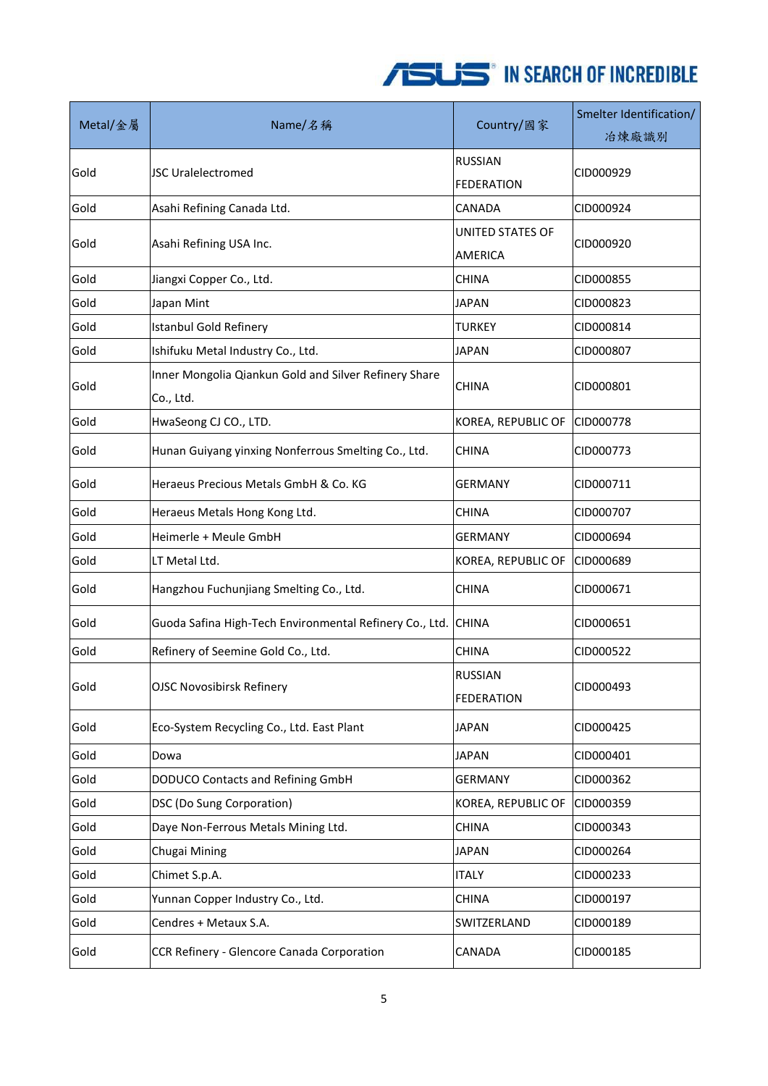| Metal/金屬 | Name/名稱                                                            | Country/國家                          | Smelter Identification/<br>冶煉廠識別 |
|----------|--------------------------------------------------------------------|-------------------------------------|----------------------------------|
| Gold     | <b>JSC Uralelectromed</b>                                          | <b>RUSSIAN</b><br><b>FEDERATION</b> | CID000929                        |
| Gold     | Asahi Refining Canada Ltd.                                         | <b>CANADA</b>                       | CID000924                        |
| Gold     | Asahi Refining USA Inc.                                            | UNITED STATES OF<br><b>AMERICA</b>  | CID000920                        |
| Gold     | Jiangxi Copper Co., Ltd.                                           | <b>CHINA</b>                        | CID000855                        |
| Gold     | Japan Mint                                                         | <b>JAPAN</b>                        | CID000823                        |
| Gold     | <b>Istanbul Gold Refinery</b>                                      | <b>TURKEY</b>                       | CID000814                        |
| Gold     | Ishifuku Metal Industry Co., Ltd.                                  | <b>JAPAN</b>                        | CID000807                        |
| Gold     | Inner Mongolia Qiankun Gold and Silver Refinery Share<br>Co., Ltd. | <b>CHINA</b>                        | CID000801                        |
| Gold     | HwaSeong CJ CO., LTD.                                              | KOREA, REPUBLIC OF                  | CID000778                        |
| Gold     | Hunan Guiyang yinxing Nonferrous Smelting Co., Ltd.                | <b>CHINA</b>                        | CID000773                        |
| Gold     | Heraeus Precious Metals GmbH & Co. KG                              | GERMANY                             | CID000711                        |
| Gold     | Heraeus Metals Hong Kong Ltd.                                      | <b>CHINA</b>                        | CID000707                        |
| Gold     | Heimerle + Meule GmbH                                              | <b>GERMANY</b>                      | CID000694                        |
| Gold     | LT Metal Ltd.                                                      | KOREA, REPUBLIC OF                  | CID000689                        |
| Gold     | Hangzhou Fuchunjiang Smelting Co., Ltd.                            | CHINA                               | CID000671                        |
| Gold     | Guoda Safina High-Tech Environmental Refinery Co., Ltd.            | <b>CHINA</b>                        | CID000651                        |
| Gold     | Refinery of Seemine Gold Co., Ltd.                                 | <b>CHINA</b>                        | CID000522                        |
| Gold     | <b>OJSC Novosibirsk Refinery</b>                                   | <b>RUSSIAN</b><br>FEDERATION        | CID000493                        |
| Gold     | Eco-System Recycling Co., Ltd. East Plant                          | <b>JAPAN</b>                        | CID000425                        |
| Gold     | Dowa                                                               | <b>JAPAN</b>                        | CID000401                        |
| Gold     | DODUCO Contacts and Refining GmbH                                  | <b>GERMANY</b>                      | CID000362                        |
| Gold     | DSC (Do Sung Corporation)                                          | KOREA, REPUBLIC OF                  | CID000359                        |
| Gold     | Daye Non-Ferrous Metals Mining Ltd.                                | <b>CHINA</b>                        | CID000343                        |
| Gold     | Chugai Mining                                                      | <b>JAPAN</b>                        | CID000264                        |
| Gold     | Chimet S.p.A.                                                      | <b>ITALY</b>                        | CID000233                        |
| Gold     | Yunnan Copper Industry Co., Ltd.                                   | <b>CHINA</b>                        | CID000197                        |
| Gold     | Cendres + Metaux S.A.                                              | SWITZERLAND                         | CID000189                        |
| Gold     | CCR Refinery - Glencore Canada Corporation                         | CANADA                              | CID000185                        |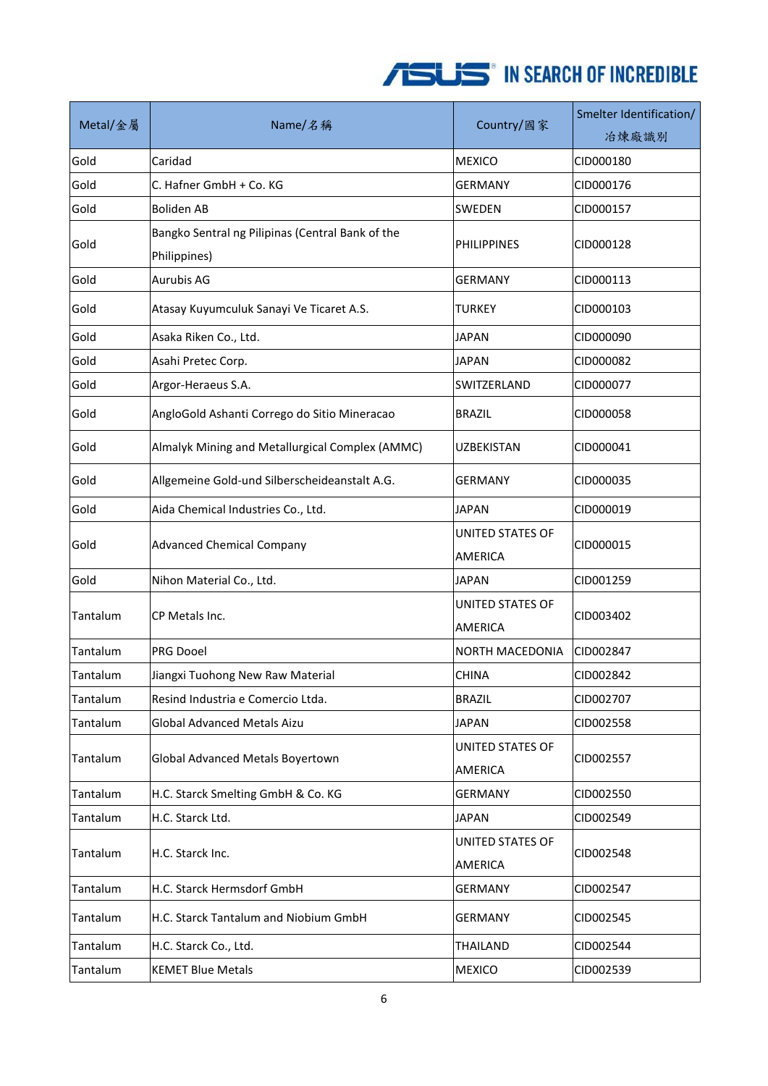| Metal/金屬 | Name/名稱                                                          | Country/國家                         | Smelter Identification/<br>冶煉廠識別 |
|----------|------------------------------------------------------------------|------------------------------------|----------------------------------|
| Gold     | Caridad                                                          | <b>MEXICO</b>                      | CID000180                        |
| Gold     | C. Hafner GmbH + Co. KG                                          | GERMANY                            | CID000176                        |
| Gold     | <b>Boliden AB</b>                                                | SWEDEN                             | CID000157                        |
| Gold     | Bangko Sentral ng Pilipinas (Central Bank of the<br>Philippines) | <b>PHILIPPINES</b>                 | CID000128                        |
| Gold     | <b>Aurubis AG</b>                                                | <b>GERMANY</b>                     | CID000113                        |
| Gold     | Atasay Kuyumculuk Sanayi Ve Ticaret A.S.                         | <b>TURKEY</b>                      | CID000103                        |
| Gold     | Asaka Riken Co., Ltd.                                            | <b>JAPAN</b>                       | CID000090                        |
| Gold     | Asahi Pretec Corp.                                               | JAPAN                              | CID000082                        |
| Gold     | Argor-Heraeus S.A.                                               | SWITZERLAND                        | CID000077                        |
| Gold     | AngloGold Ashanti Corrego do Sitio Mineracao                     | <b>BRAZIL</b>                      | CID000058                        |
| Gold     | Almalyk Mining and Metallurgical Complex (AMMC)                  | <b>UZBEKISTAN</b>                  | CID000041                        |
| Gold     | Allgemeine Gold-und Silberscheideanstalt A.G.                    | <b>GERMANY</b>                     | CID000035                        |
| Gold     | Aida Chemical Industries Co., Ltd.                               | <b>JAPAN</b>                       | CID000019                        |
| Gold     | <b>Advanced Chemical Company</b>                                 | UNITED STATES OF<br><b>AMERICA</b> | CID000015                        |
| Gold     | Nihon Material Co., Ltd.                                         | <b>JAPAN</b>                       | CID001259                        |
| Tantalum | CP Metals Inc.                                                   | UNITED STATES OF<br><b>AMERICA</b> | CID003402                        |
| Tantalum | PRG Dooel                                                        | <b>NORTH MACEDONIA</b>             | CID002847                        |
| Tantalum | Jiangxi Tuohong New Raw Material                                 | <b>CHINA</b>                       | CID002842                        |
| Tantalum | Resind Industria e Comercio Ltda.                                | <b>BRAZIL</b>                      | CID002707                        |
| Tantalum | Global Advanced Metals Aizu                                      | <b>JAPAN</b>                       | CID002558                        |
| Tantalum | Global Advanced Metals Boyertown                                 | UNITED STATES OF<br>AMERICA        | CID002557                        |
| Tantalum | H.C. Starck Smelting GmbH & Co. KG                               | <b>GERMANY</b>                     | CID002550                        |
| Tantalum | H.C. Starck Ltd.                                                 | <b>JAPAN</b>                       | CID002549                        |
| Tantalum | H.C. Starck Inc.                                                 | UNITED STATES OF<br>AMERICA        | CID002548                        |
| Tantalum | H.C. Starck Hermsdorf GmbH                                       | <b>GERMANY</b>                     | CID002547                        |
| Tantalum | H.C. Starck Tantalum and Niobium GmbH                            | GERMANY                            | CID002545                        |
| Tantalum | H.C. Starck Co., Ltd.                                            | THAILAND                           | CID002544                        |
| Tantalum | <b>KEMET Blue Metals</b>                                         | <b>MEXICO</b>                      | CID002539                        |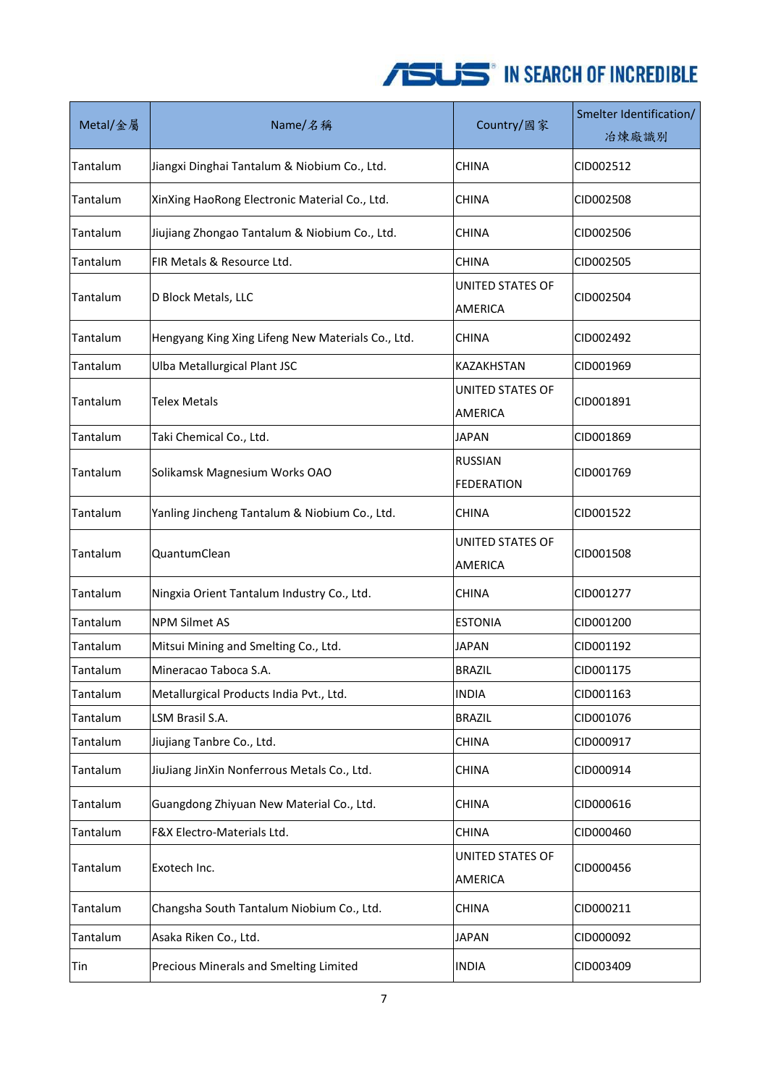| Metal/金屬 | Name/名稱                                           | Country/國家                         | Smelter Identification/<br>冶煉廠識別 |
|----------|---------------------------------------------------|------------------------------------|----------------------------------|
| Tantalum | Jiangxi Dinghai Tantalum & Niobium Co., Ltd.      | <b>CHINA</b>                       | CID002512                        |
| Tantalum | XinXing HaoRong Electronic Material Co., Ltd.     | <b>CHINA</b>                       | CID002508                        |
| Tantalum | Jiujiang Zhongao Tantalum & Niobium Co., Ltd.     | CHINA                              | CID002506                        |
| Tantalum | FIR Metals & Resource Ltd.                        | <b>CHINA</b>                       | CID002505                        |
| Tantalum | D Block Metals, LLC                               | <b>UNITED STATES OF</b><br>AMERICA | CID002504                        |
| Tantalum | Hengyang King Xing Lifeng New Materials Co., Ltd. | <b>CHINA</b>                       | CID002492                        |
| Tantalum | Ulba Metallurgical Plant JSC                      | KAZAKHSTAN                         | CID001969                        |
| Tantalum | <b>Telex Metals</b>                               | <b>UNITED STATES OF</b>            | CID001891                        |
|          |                                                   | AMERICA                            |                                  |
| Tantalum | Taki Chemical Co., Ltd.                           | <b>JAPAN</b>                       | CID001869                        |
| Tantalum | Solikamsk Magnesium Works OAO                     | <b>RUSSIAN</b><br>FEDERATION       | CID001769                        |
| Tantalum | Yanling Jincheng Tantalum & Niobium Co., Ltd.     | <b>CHINA</b>                       | CID001522                        |
| Tantalum | QuantumClean                                      | UNITED STATES OF<br>AMERICA        | CID001508                        |
| Tantalum | Ningxia Orient Tantalum Industry Co., Ltd.        | CHINA                              | CID001277                        |
| Tantalum | <b>NPM Silmet AS</b>                              | <b>ESTONIA</b>                     | CID001200                        |
| Tantalum | Mitsui Mining and Smelting Co., Ltd.              | <b>JAPAN</b>                       | CID001192                        |
| Tantalum | Mineracao Taboca S.A.                             | <b>BRAZIL</b>                      | CID001175                        |
| Tantalum | Metallurgical Products India Pvt., Ltd.           | <b>INDIA</b>                       | CID001163                        |
| Tantalum | LSM Brasil S.A.                                   | <b>BRAZIL</b>                      | CID001076                        |
| Tantalum | Jiujiang Tanbre Co., Ltd.                         | <b>CHINA</b>                       | CID000917                        |
| Tantalum | JiuJiang JinXin Nonferrous Metals Co., Ltd.       | <b>CHINA</b>                       | CID000914                        |
| Tantalum | Guangdong Zhiyuan New Material Co., Ltd.          | CHINA                              | CID000616                        |
| Tantalum | F&X Electro-Materials Ltd.                        | <b>CHINA</b>                       | CID000460                        |
| Tantalum | Exotech Inc.                                      | UNITED STATES OF<br>AMERICA        | CID000456                        |
| Tantalum | Changsha South Tantalum Niobium Co., Ltd.         | <b>CHINA</b>                       | CID000211                        |
| Tantalum | Asaka Riken Co., Ltd.                             | <b>JAPAN</b>                       | CID000092                        |
| Tin      | Precious Minerals and Smelting Limited            | <b>INDIA</b>                       | CID003409                        |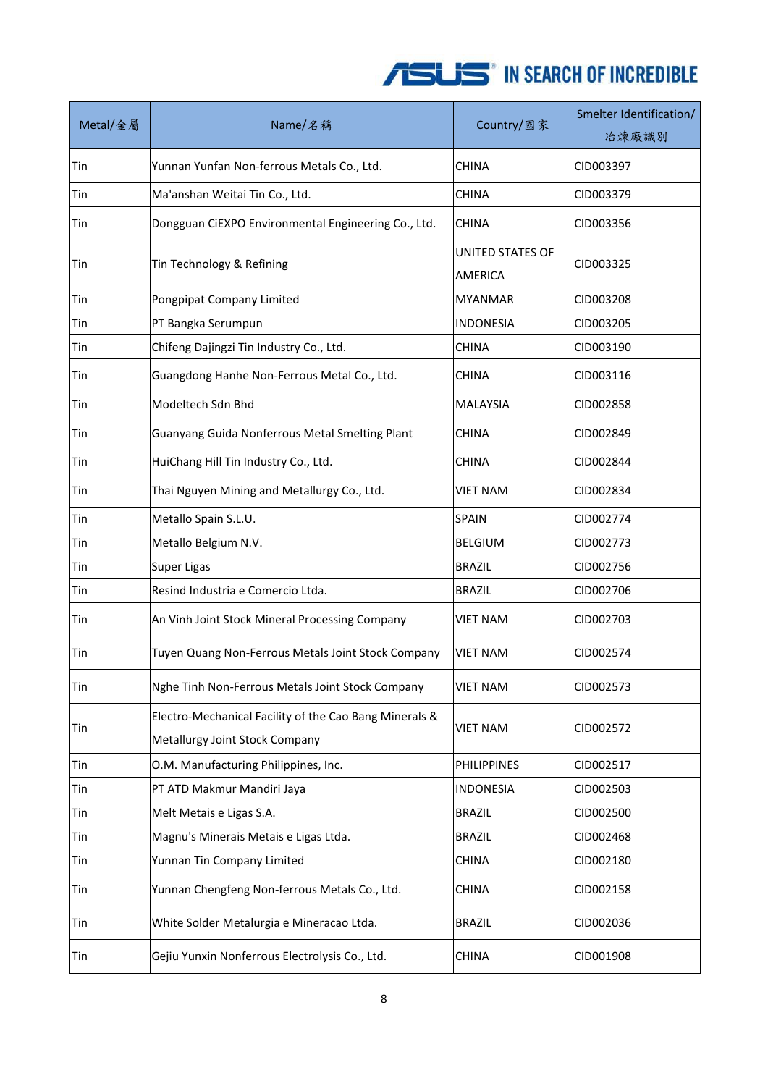| Metal/金屬 | Name/名稱                                                                                  | Country/國家                         | Smelter Identification/<br>冶煉廠識別 |
|----------|------------------------------------------------------------------------------------------|------------------------------------|----------------------------------|
| Tin      | Yunnan Yunfan Non-ferrous Metals Co., Ltd.                                               | <b>CHINA</b>                       | CID003397                        |
| Tin      | Ma'anshan Weitai Tin Co., Ltd.                                                           | <b>CHINA</b>                       | CID003379                        |
| Tin      | Dongguan CiEXPO Environmental Engineering Co., Ltd.                                      | <b>CHINA</b>                       | CID003356                        |
| Tin      | Tin Technology & Refining                                                                | UNITED STATES OF<br><b>AMERICA</b> | CID003325                        |
| Tin      | Pongpipat Company Limited                                                                | <b>MYANMAR</b>                     | CID003208                        |
| Tin      | PT Bangka Serumpun                                                                       | <b>INDONESIA</b>                   | CID003205                        |
| Tin      | Chifeng Dajingzi Tin Industry Co., Ltd.                                                  | <b>CHINA</b>                       | CID003190                        |
| Tin      | Guangdong Hanhe Non-Ferrous Metal Co., Ltd.                                              | <b>CHINA</b>                       | CID003116                        |
| Tin      | Modeltech Sdn Bhd                                                                        | <b>MALAYSIA</b>                    | CID002858                        |
| Tin      | Guanyang Guida Nonferrous Metal Smelting Plant                                           | <b>CHINA</b>                       | CID002849                        |
| Tin      | HuiChang Hill Tin Industry Co., Ltd.                                                     | <b>CHINA</b>                       | CID002844                        |
| Tin      | Thai Nguyen Mining and Metallurgy Co., Ltd.                                              | <b>VIET NAM</b>                    | CID002834                        |
| Tin      | Metallo Spain S.L.U.                                                                     | <b>SPAIN</b>                       | CID002774                        |
| Tin      | Metallo Belgium N.V.                                                                     | <b>BELGIUM</b>                     | CID002773                        |
| Tin      | Super Ligas                                                                              | <b>BRAZIL</b>                      | CID002756                        |
| Tin      | Resind Industria e Comercio Ltda.                                                        | <b>BRAZIL</b>                      | CID002706                        |
| Tin      | An Vinh Joint Stock Mineral Processing Company                                           | <b>VIET NAM</b>                    | CID002703                        |
| Tin      | Tuyen Quang Non-Ferrous Metals Joint Stock Company                                       | <b>VIET NAM</b>                    | CID002574                        |
| Tin      | Nghe Tinh Non-Ferrous Metals Joint Stock Company                                         | <b>VIET NAM</b>                    | CID002573                        |
| Tin      | Electro-Mechanical Facility of the Cao Bang Minerals &<br>Metallurgy Joint Stock Company | <b>VIET NAM</b>                    | CID002572                        |
| Tin      | O.M. Manufacturing Philippines, Inc.                                                     | <b>PHILIPPINES</b>                 | CID002517                        |
| Tin      | PT ATD Makmur Mandiri Jaya                                                               | <b>INDONESIA</b>                   | CID002503                        |
| Tin      | Melt Metais e Ligas S.A.                                                                 | <b>BRAZIL</b>                      | CID002500                        |
| Tin      | Magnu's Minerais Metais e Ligas Ltda.                                                    | <b>BRAZIL</b>                      | CID002468                        |
| Tin      | Yunnan Tin Company Limited                                                               | <b>CHINA</b>                       | CID002180                        |
| Tin      | Yunnan Chengfeng Non-ferrous Metals Co., Ltd.                                            | <b>CHINA</b>                       | CID002158                        |
| Tin      | White Solder Metalurgia e Mineracao Ltda.                                                | <b>BRAZIL</b>                      | CID002036                        |
| Tin      | Gejiu Yunxin Nonferrous Electrolysis Co., Ltd.                                           | CHINA                              | CID001908                        |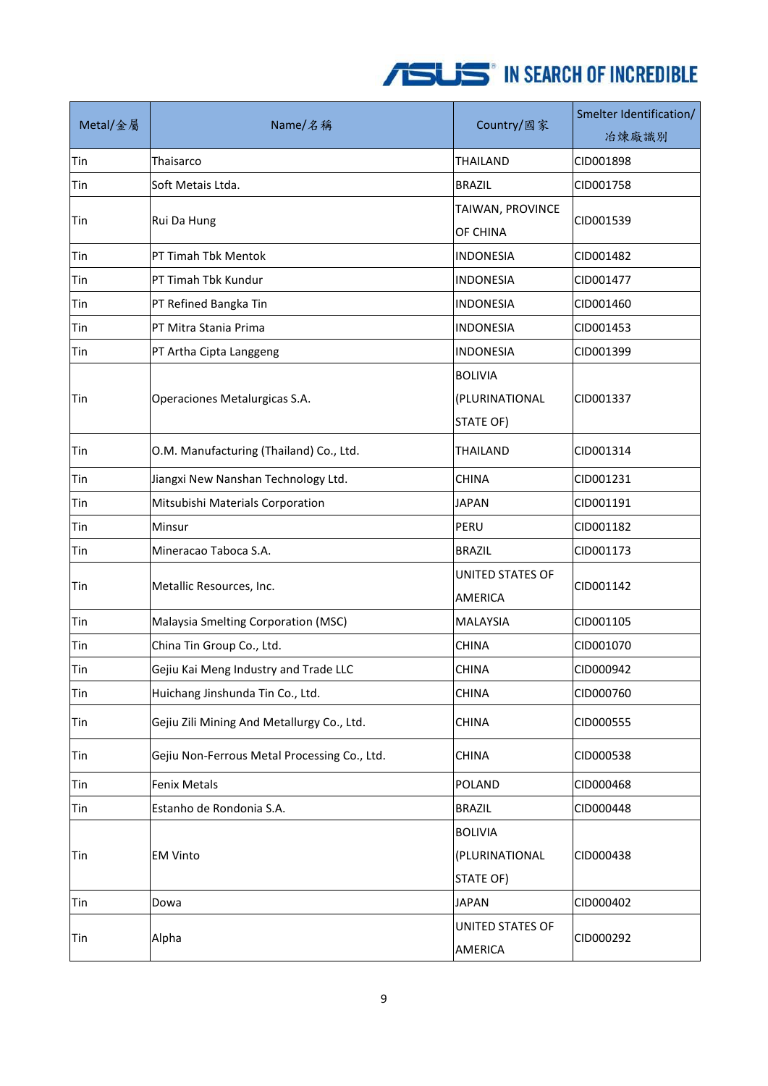| Metal/金屬 | Name/名稱                                      | Country/國家                                    | Smelter Identification/<br>冶煉廠識別 |
|----------|----------------------------------------------|-----------------------------------------------|----------------------------------|
| Tin      | Thaisarco                                    | <b>THAILAND</b>                               | CID001898                        |
| Tin      | Soft Metais Ltda.                            | <b>BRAZIL</b>                                 | CID001758                        |
| Tin      | Rui Da Hung                                  | TAIWAN, PROVINCE<br>OF CHINA                  | CID001539                        |
| Tin      | PT Timah Tbk Mentok                          | <b>INDONESIA</b>                              | CID001482                        |
| Tin      | PT Timah Tbk Kundur                          | <b>INDONESIA</b>                              | CID001477                        |
| Tin      | PT Refined Bangka Tin                        | <b>INDONESIA</b>                              | CID001460                        |
| Tin      | PT Mitra Stania Prima                        | <b>INDONESIA</b>                              | CID001453                        |
| Tin      | PT Artha Cipta Langgeng                      | INDONESIA                                     | CID001399                        |
| Tin      | Operaciones Metalurgicas S.A.                | <b>BOLIVIA</b><br>(PLURINATIONAL<br>STATE OF) | CID001337                        |
| Tin      | O.M. Manufacturing (Thailand) Co., Ltd.      | <b>THAILAND</b>                               | CID001314                        |
| Tin      | Jiangxi New Nanshan Technology Ltd.          | <b>CHINA</b>                                  | CID001231                        |
| Tin      | Mitsubishi Materials Corporation             | <b>JAPAN</b>                                  | CID001191                        |
| Tin      | Minsur                                       | PERU                                          | CID001182                        |
| Tin      | Mineracao Taboca S.A.                        | <b>BRAZIL</b>                                 | CID001173                        |
| Tin      | Metallic Resources, Inc.                     | UNITED STATES OF<br>AMERICA                   | CID001142                        |
| Tin      | Malaysia Smelting Corporation (MSC)          | <b>MALAYSIA</b>                               | CID001105                        |
| Tin      | China Tin Group Co., Ltd.                    | <b>CHINA</b>                                  | CID001070                        |
| Tin      | Gejiu Kai Meng Industry and Trade LLC        | <b>CHINA</b>                                  | CID000942                        |
| Tin      | Huichang Jinshunda Tin Co., Ltd.             | <b>CHINA</b>                                  | CID000760                        |
| Tin      | Gejiu Zili Mining And Metallurgy Co., Ltd.   | <b>CHINA</b>                                  | CID000555                        |
| Tin      | Gejiu Non-Ferrous Metal Processing Co., Ltd. | CHINA                                         | CID000538                        |
| Tin      | <b>Fenix Metals</b>                          | <b>POLAND</b>                                 | CID000468                        |
| Tin      | Estanho de Rondonia S.A.                     | <b>BRAZIL</b>                                 | CID000448                        |
| Tin      | <b>EM Vinto</b>                              | <b>BOLIVIA</b><br>(PLURINATIONAL<br>STATE OF) | CID000438                        |
| Tin      | Dowa                                         | <b>JAPAN</b>                                  | CID000402                        |
| Tin      | Alpha                                        | UNITED STATES OF<br>AMERICA                   | CID000292                        |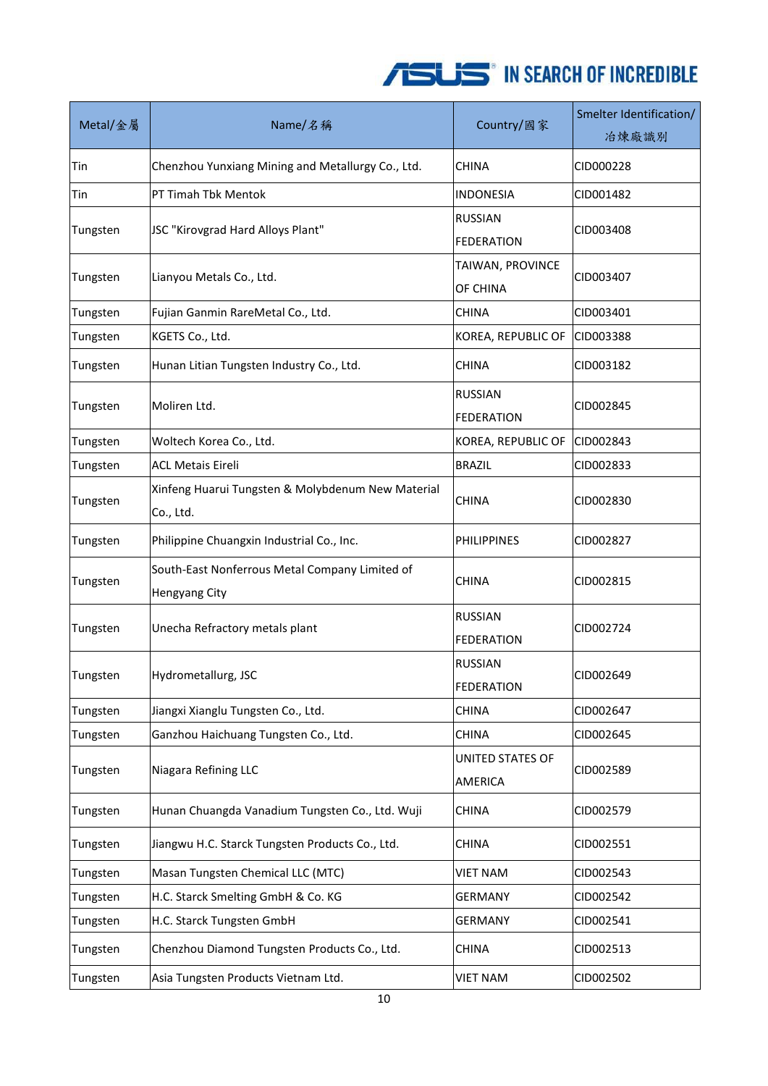| Metal/金屬 | Name/名稱                                                         | Country/國家                          | Smelter Identification/<br>冶煉廠識別 |
|----------|-----------------------------------------------------------------|-------------------------------------|----------------------------------|
| Tin      | Chenzhou Yunxiang Mining and Metallurgy Co., Ltd.               | <b>CHINA</b>                        | CID000228                        |
| Tin      | PT Timah Tbk Mentok                                             | <b>INDONESIA</b>                    | CID001482                        |
| Tungsten | JSC "Kirovgrad Hard Alloys Plant"                               | <b>RUSSIAN</b><br><b>FEDERATION</b> | CID003408                        |
| Tungsten | Lianyou Metals Co., Ltd.                                        | TAIWAN, PROVINCE<br>OF CHINA        | CID003407                        |
| Tungsten | Fujian Ganmin RareMetal Co., Ltd.                               | <b>CHINA</b>                        | CID003401                        |
| Tungsten | KGETS Co., Ltd.                                                 | KOREA, REPUBLIC OF                  | CID003388                        |
| Tungsten | Hunan Litian Tungsten Industry Co., Ltd.                        | <b>CHINA</b>                        | CID003182                        |
| Tungsten | Moliren Ltd.                                                    | <b>RUSSIAN</b><br><b>FEDERATION</b> | CID002845                        |
| Tungsten | Woltech Korea Co., Ltd.                                         | KOREA, REPUBLIC OF                  | CID002843                        |
| Tungsten | <b>ACL Metais Eireli</b>                                        | <b>BRAZIL</b>                       | CID002833                        |
| Tungsten | Xinfeng Huarui Tungsten & Molybdenum New Material<br>Co., Ltd.  | <b>CHINA</b>                        | CID002830                        |
| Tungsten | Philippine Chuangxin Industrial Co., Inc.                       | <b>PHILIPPINES</b>                  | CID002827                        |
| Tungsten | South-East Nonferrous Metal Company Limited of<br>Hengyang City | <b>CHINA</b>                        | CID002815                        |
| Tungsten | Unecha Refractory metals plant                                  | <b>RUSSIAN</b><br><b>FEDERATION</b> | CID002724                        |
| Tungsten | Hydrometallurg, JSC                                             | <b>RUSSIAN</b><br>FEDERATION        | CID002649                        |
| Tungsten | Jiangxi Xianglu Tungsten Co., Ltd.                              | <b>CHINA</b>                        | CID002647                        |
| Tungsten | Ganzhou Haichuang Tungsten Co., Ltd.                            | <b>CHINA</b>                        | CID002645                        |
| Tungsten | Niagara Refining LLC                                            | UNITED STATES OF<br>AMERICA         | CID002589                        |
| Tungsten | Hunan Chuangda Vanadium Tungsten Co., Ltd. Wuji                 | <b>CHINA</b>                        | CID002579                        |
| Tungsten | Jiangwu H.C. Starck Tungsten Products Co., Ltd.                 | CHINA                               | CID002551                        |
| Tungsten | Masan Tungsten Chemical LLC (MTC)                               | VIET NAM                            | CID002543                        |
| Tungsten | H.C. Starck Smelting GmbH & Co. KG                              | <b>GERMANY</b>                      | CID002542                        |
| Tungsten | H.C. Starck Tungsten GmbH                                       | <b>GERMANY</b>                      | CID002541                        |
| Tungsten | Chenzhou Diamond Tungsten Products Co., Ltd.                    | <b>CHINA</b>                        | CID002513                        |
| Tungsten | Asia Tungsten Products Vietnam Ltd.                             | <b>VIET NAM</b>                     | CID002502                        |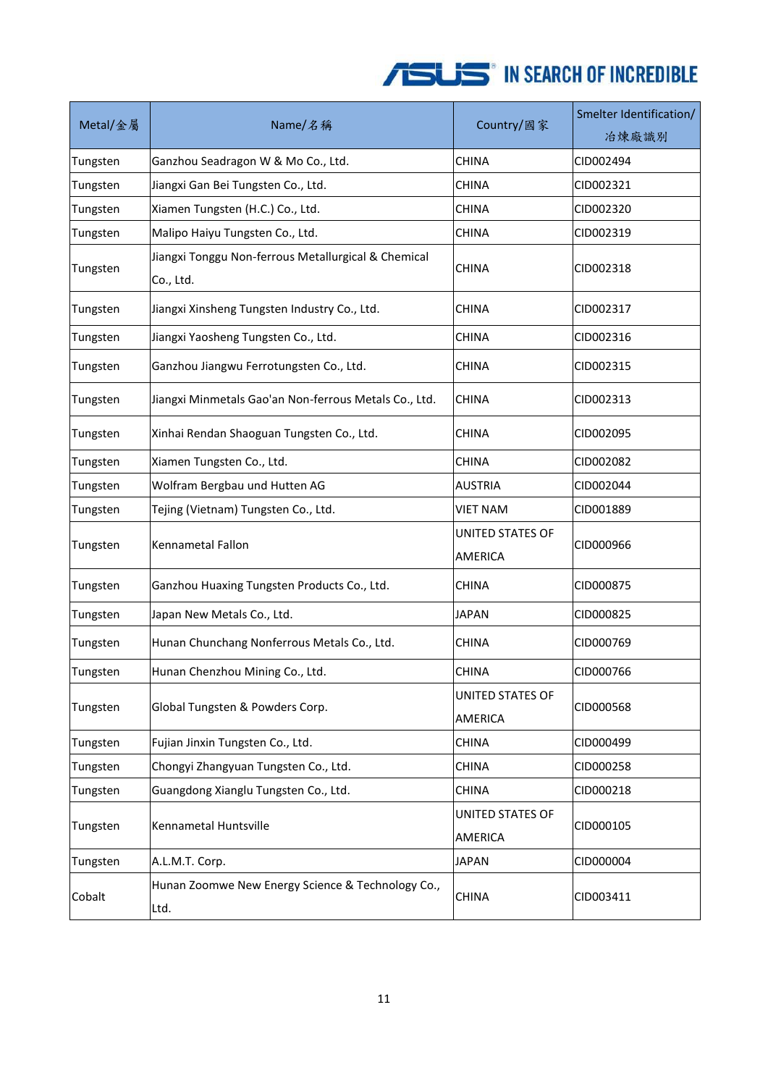| Metal/金屬 | Name/名稱                                                          | Country/國家                  | Smelter Identification/<br>冶煉廠識別 |
|----------|------------------------------------------------------------------|-----------------------------|----------------------------------|
| Tungsten | Ganzhou Seadragon W & Mo Co., Ltd.                               | <b>CHINA</b>                | CID002494                        |
| Tungsten | Jiangxi Gan Bei Tungsten Co., Ltd.                               | <b>CHINA</b>                | CID002321                        |
| Tungsten | Xiamen Tungsten (H.C.) Co., Ltd.                                 | <b>CHINA</b>                | CID002320                        |
| Tungsten | Malipo Haiyu Tungsten Co., Ltd.                                  | <b>CHINA</b>                | CID002319                        |
| Tungsten | Jiangxi Tonggu Non-ferrous Metallurgical & Chemical<br>Co., Ltd. | CHINA                       | CID002318                        |
| Tungsten | Jiangxi Xinsheng Tungsten Industry Co., Ltd.                     | <b>CHINA</b>                | CID002317                        |
| Tungsten | Jiangxi Yaosheng Tungsten Co., Ltd.                              | <b>CHINA</b>                | CID002316                        |
| Tungsten | Ganzhou Jiangwu Ferrotungsten Co., Ltd.                          | <b>CHINA</b>                | CID002315                        |
| Tungsten | Jiangxi Minmetals Gao'an Non-ferrous Metals Co., Ltd.            | <b>CHINA</b>                | CID002313                        |
| Tungsten | Xinhai Rendan Shaoguan Tungsten Co., Ltd.                        | <b>CHINA</b>                | CID002095                        |
| Tungsten | Xiamen Tungsten Co., Ltd.                                        | <b>CHINA</b>                | CID002082                        |
| Tungsten | Wolfram Bergbau und Hutten AG                                    | <b>AUSTRIA</b>              | CID002044                        |
| Tungsten | Tejing (Vietnam) Tungsten Co., Ltd.                              | <b>VIET NAM</b>             | CID001889                        |
| Tungsten | Kennametal Fallon                                                | UNITED STATES OF<br>AMERICA | CID000966                        |
| Tungsten | Ganzhou Huaxing Tungsten Products Co., Ltd.                      | <b>CHINA</b>                | CID000875                        |
| Tungsten | Japan New Metals Co., Ltd.                                       | <b>JAPAN</b>                | CID000825                        |
| Tungsten | Hunan Chunchang Nonferrous Metals Co., Ltd.                      | <b>CHINA</b>                | CID000769                        |
| Tungsten | Hunan Chenzhou Mining Co., Ltd.                                  | <b>CHINA</b>                | CID000766                        |
| Tungsten | Global Tungsten & Powders Corp.                                  | UNITED STATES OF<br>AMERICA | CID000568                        |
| Tungsten | Fujian Jinxin Tungsten Co., Ltd.                                 | <b>CHINA</b>                | CID000499                        |
| Tungsten | Chongyi Zhangyuan Tungsten Co., Ltd.                             | <b>CHINA</b>                | CID000258                        |
| Tungsten | Guangdong Xianglu Tungsten Co., Ltd.                             | <b>CHINA</b>                | CID000218                        |
| Tungsten | Kennametal Huntsville                                            | UNITED STATES OF<br>AMERICA | CID000105                        |
| Tungsten | A.L.M.T. Corp.                                                   | <b>JAPAN</b>                | CID000004                        |
| Cobalt   | Hunan Zoomwe New Energy Science & Technology Co.,<br>Ltd.        | <b>CHINA</b>                | CID003411                        |